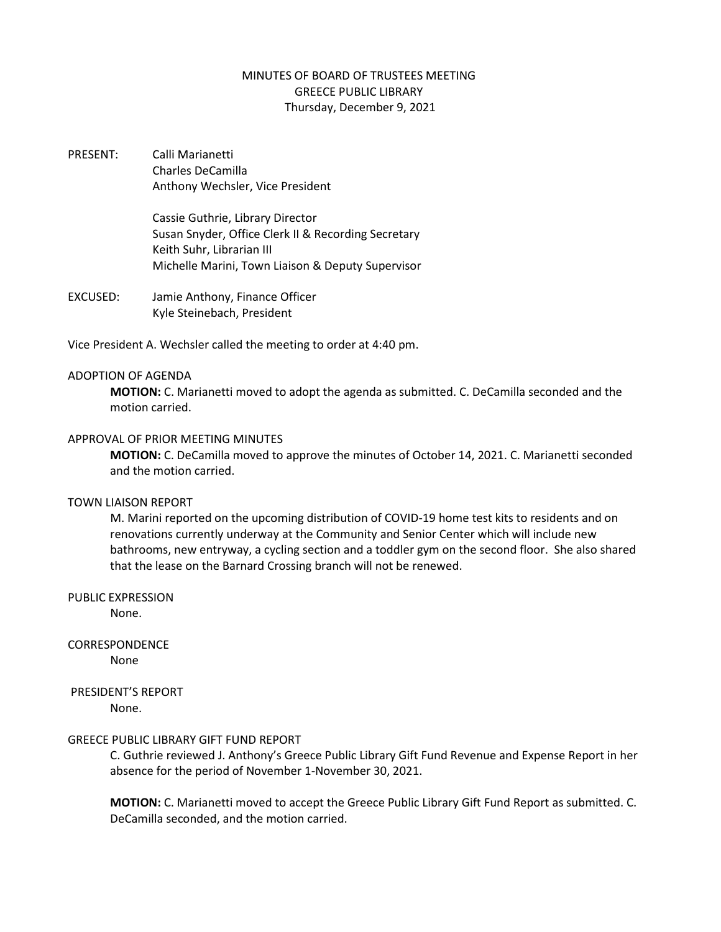# MINUTES OF BOARD OF TRUSTEES MEETING GREECE PUBLIC LIBRARY Thursday, December 9, 2021

PRESENT: Calli Marianetti Charles DeCamilla Anthony Wechsler, Vice President

> Cassie Guthrie, Library Director Susan Snyder, Office Clerk II & Recording Secretary Keith Suhr, Librarian III Michelle Marini, Town Liaison & Deputy Supervisor

EXCUSED: Jamie Anthony, Finance Officer Kyle Steinebach, President

Vice President A. Wechsler called the meeting to order at 4:40 pm.

#### ADOPTION OF AGENDA

**MOTION:** C. Marianetti moved to adopt the agenda as submitted. C. DeCamilla seconded and the motion carried.

## APPROVAL OF PRIOR MEETING MINUTES

**MOTION:** C. DeCamilla moved to approve the minutes of October 14, 2021. C. Marianetti seconded and the motion carried.

#### TOWN LIAISON REPORT

M. Marini reported on the upcoming distribution of COVID-19 home test kits to residents and on renovations currently underway at the Community and Senior Center which will include new bathrooms, new entryway, a cycling section and a toddler gym on the second floor. She also shared that the lease on the Barnard Crossing branch will not be renewed.

PUBLIC EXPRESSION

None.

# CORRESPONDENCE

None

# PRESIDENT'S REPORT

None.

### GREECE PUBLIC LIBRARY GIFT FUND REPORT

C. Guthrie reviewed J. Anthony's Greece Public Library Gift Fund Revenue and Expense Report in her absence for the period of November 1-November 30, 2021.

**MOTION:** C. Marianetti moved to accept the Greece Public Library Gift Fund Report as submitted. C. DeCamilla seconded, and the motion carried.